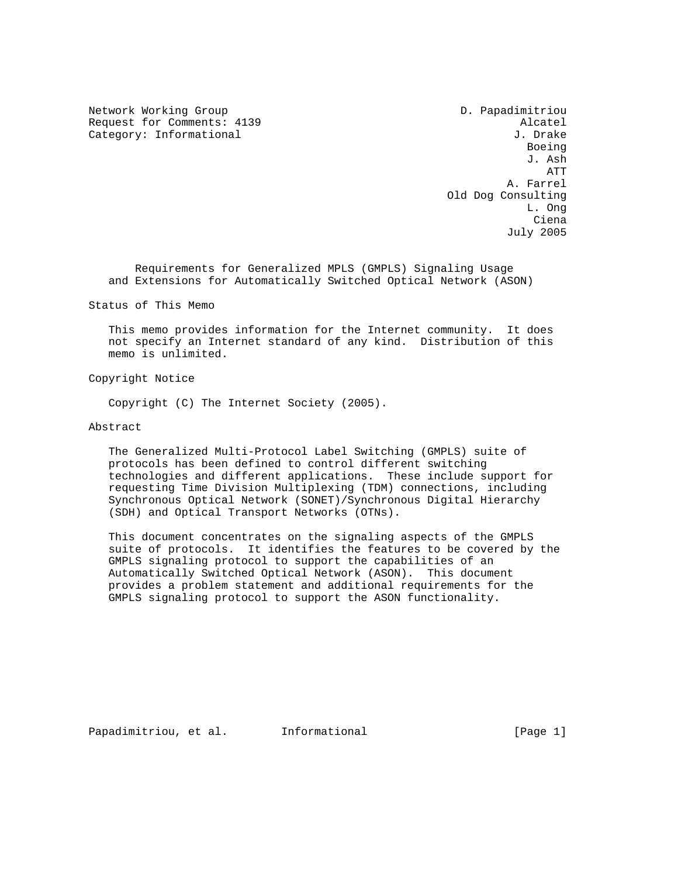Network Working Group D. Papadimitriou Request for Comments: 4139<br>Category: Informational and the control of the category: Informational Category: Informational

en de la provincia de la provincia de la provincia de la provincia de la provincia de la provincia de la provi J. Ash ATT A. Farrel Old Dog Consulting<br>L. Ong L. Ong Ciena July 2005

 Requirements for Generalized MPLS (GMPLS) Signaling Usage and Extensions for Automatically Switched Optical Network (ASON)

Status of This Memo

 This memo provides information for the Internet community. It does not specify an Internet standard of any kind. Distribution of this memo is unlimited.

Copyright Notice

Copyright (C) The Internet Society (2005).

## Abstract

 The Generalized Multi-Protocol Label Switching (GMPLS) suite of protocols has been defined to control different switching technologies and different applications. These include support for requesting Time Division Multiplexing (TDM) connections, including Synchronous Optical Network (SONET)/Synchronous Digital Hierarchy (SDH) and Optical Transport Networks (OTNs).

 This document concentrates on the signaling aspects of the GMPLS suite of protocols. It identifies the features to be covered by the GMPLS signaling protocol to support the capabilities of an Automatically Switched Optical Network (ASON). This document provides a problem statement and additional requirements for the GMPLS signaling protocol to support the ASON functionality.

Papadimitriou, et al. informational [Page 1]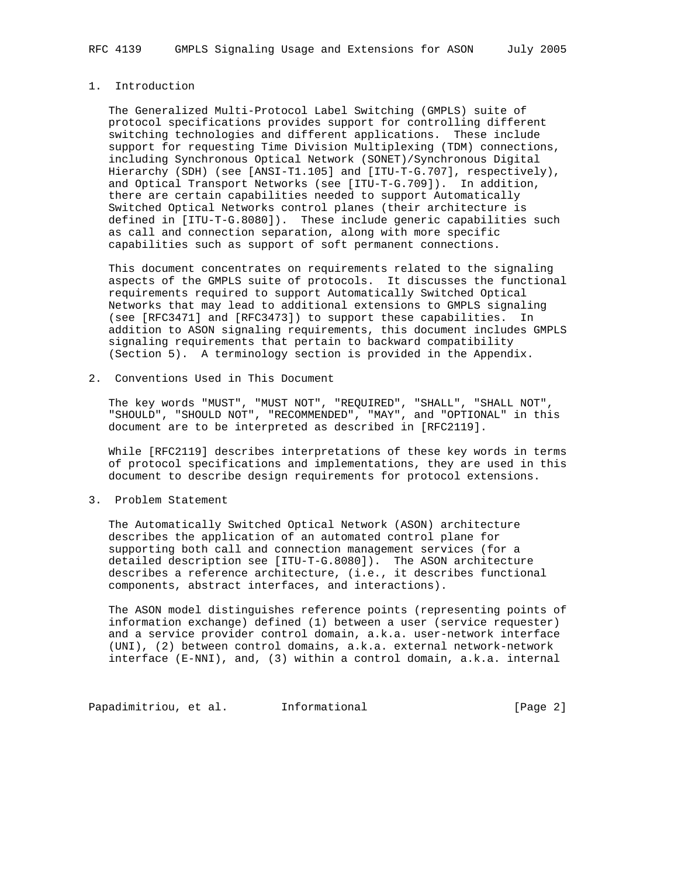# 1. Introduction

 The Generalized Multi-Protocol Label Switching (GMPLS) suite of protocol specifications provides support for controlling different switching technologies and different applications. These include support for requesting Time Division Multiplexing (TDM) connections, including Synchronous Optical Network (SONET)/Synchronous Digital Hierarchy (SDH) (see [ANSI-T1.105] and [ITU-T-G.707], respectively), and Optical Transport Networks (see [ITU-T-G.709]). In addition, there are certain capabilities needed to support Automatically Switched Optical Networks control planes (their architecture is defined in [ITU-T-G.8080]). These include generic capabilities such as call and connection separation, along with more specific capabilities such as support of soft permanent connections.

 This document concentrates on requirements related to the signaling aspects of the GMPLS suite of protocols. It discusses the functional requirements required to support Automatically Switched Optical Networks that may lead to additional extensions to GMPLS signaling (see [RFC3471] and [RFC3473]) to support these capabilities. In addition to ASON signaling requirements, this document includes GMPLS signaling requirements that pertain to backward compatibility (Section 5). A terminology section is provided in the Appendix.

2. Conventions Used in This Document

 The key words "MUST", "MUST NOT", "REQUIRED", "SHALL", "SHALL NOT", "SHOULD", "SHOULD NOT", "RECOMMENDED", "MAY", and "OPTIONAL" in this document are to be interpreted as described in [RFC2119].

 While [RFC2119] describes interpretations of these key words in terms of protocol specifications and implementations, they are used in this document to describe design requirements for protocol extensions.

3. Problem Statement

 The Automatically Switched Optical Network (ASON) architecture describes the application of an automated control plane for supporting both call and connection management services (for a detailed description see [ITU-T-G.8080]). The ASON architecture describes a reference architecture, (i.e., it describes functional components, abstract interfaces, and interactions).

 The ASON model distinguishes reference points (representing points of information exchange) defined (1) between a user (service requester) and a service provider control domain, a.k.a. user-network interface (UNI), (2) between control domains, a.k.a. external network-network interface (E-NNI), and, (3) within a control domain, a.k.a. internal

Papadimitriou, et al. 1nformational 1999 [Page 2]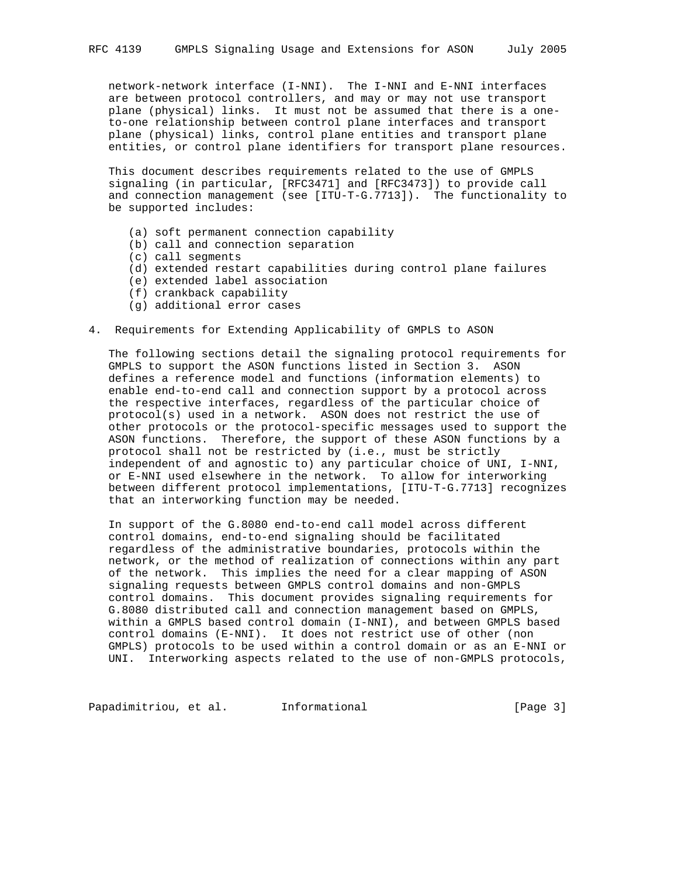network-network interface (I-NNI). The I-NNI and E-NNI interfaces are between protocol controllers, and may or may not use transport plane (physical) links. It must not be assumed that there is a one to-one relationship between control plane interfaces and transport plane (physical) links, control plane entities and transport plane entities, or control plane identifiers for transport plane resources.

 This document describes requirements related to the use of GMPLS signaling (in particular, [RFC3471] and [RFC3473]) to provide call and connection management (see [ITU-T-G.7713]). The functionality to be supported includes:

- (a) soft permanent connection capability
- (b) call and connection separation
- (c) call segments
- (d) extended restart capabilities during control plane failures
- (e) extended label association
- (f) crankback capability
- (g) additional error cases
- 4. Requirements for Extending Applicability of GMPLS to ASON

 The following sections detail the signaling protocol requirements for GMPLS to support the ASON functions listed in Section 3. ASON defines a reference model and functions (information elements) to enable end-to-end call and connection support by a protocol across the respective interfaces, regardless of the particular choice of protocol(s) used in a network. ASON does not restrict the use of other protocols or the protocol-specific messages used to support the ASON functions. Therefore, the support of these ASON functions by a protocol shall not be restricted by (i.e., must be strictly independent of and agnostic to) any particular choice of UNI, I-NNI, or E-NNI used elsewhere in the network. To allow for interworking between different protocol implementations, [ITU-T-G.7713] recognizes that an interworking function may be needed.

 In support of the G.8080 end-to-end call model across different control domains, end-to-end signaling should be facilitated regardless of the administrative boundaries, protocols within the network, or the method of realization of connections within any part of the network. This implies the need for a clear mapping of ASON signaling requests between GMPLS control domains and non-GMPLS control domains. This document provides signaling requirements for G.8080 distributed call and connection management based on GMPLS, within a GMPLS based control domain (I-NNI), and between GMPLS based control domains (E-NNI). It does not restrict use of other (non GMPLS) protocols to be used within a control domain or as an E-NNI or UNI. Interworking aspects related to the use of non-GMPLS protocols,

Papadimitriou, et al. Informational [Page 3]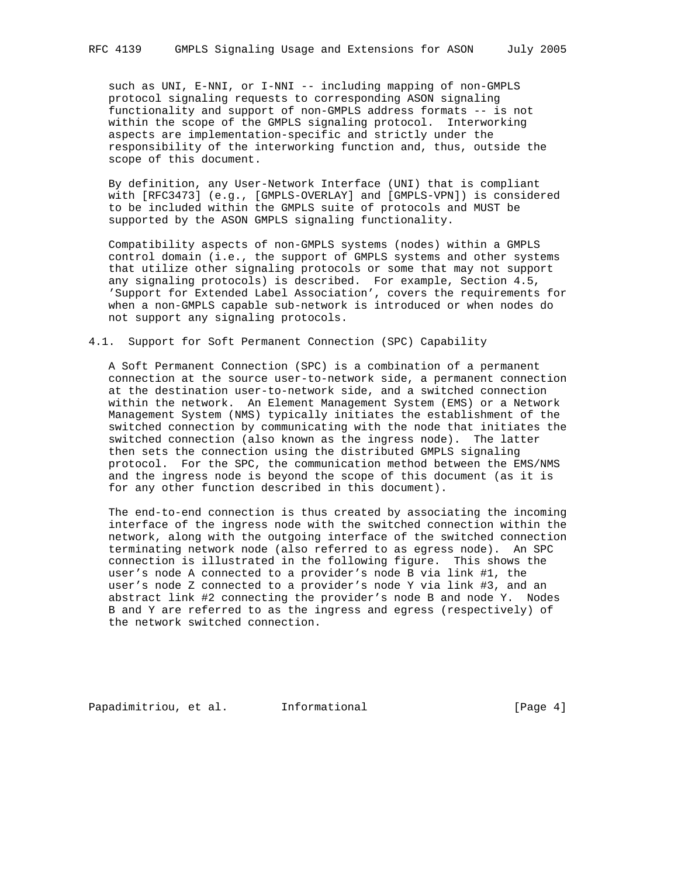such as UNI, E-NNI, or I-NNI -- including mapping of non-GMPLS protocol signaling requests to corresponding ASON signaling functionality and support of non-GMPLS address formats -- is not within the scope of the GMPLS signaling protocol. Interworking aspects are implementation-specific and strictly under the responsibility of the interworking function and, thus, outside the scope of this document.

 By definition, any User-Network Interface (UNI) that is compliant with [RFC3473] (e.g., [GMPLS-OVERLAY] and [GMPLS-VPN]) is considered to be included within the GMPLS suite of protocols and MUST be supported by the ASON GMPLS signaling functionality.

 Compatibility aspects of non-GMPLS systems (nodes) within a GMPLS control domain (i.e., the support of GMPLS systems and other systems that utilize other signaling protocols or some that may not support any signaling protocols) is described. For example, Section 4.5, 'Support for Extended Label Association', covers the requirements for when a non-GMPLS capable sub-network is introduced or when nodes do not support any signaling protocols.

## 4.1. Support for Soft Permanent Connection (SPC) Capability

 A Soft Permanent Connection (SPC) is a combination of a permanent connection at the source user-to-network side, a permanent connection at the destination user-to-network side, and a switched connection within the network. An Element Management System (EMS) or a Network Management System (NMS) typically initiates the establishment of the switched connection by communicating with the node that initiates the switched connection (also known as the ingress node). The latter then sets the connection using the distributed GMPLS signaling protocol. For the SPC, the communication method between the EMS/NMS and the ingress node is beyond the scope of this document (as it is for any other function described in this document).

 The end-to-end connection is thus created by associating the incoming interface of the ingress node with the switched connection within the network, along with the outgoing interface of the switched connection terminating network node (also referred to as egress node). An SPC connection is illustrated in the following figure. This shows the user's node A connected to a provider's node B via link #1, the user's node Z connected to a provider's node Y via link #3, and an abstract link #2 connecting the provider's node B and node Y. Nodes B and Y are referred to as the ingress and egress (respectively) of the network switched connection.

Papadimitriou, et al. Informational [Page 4]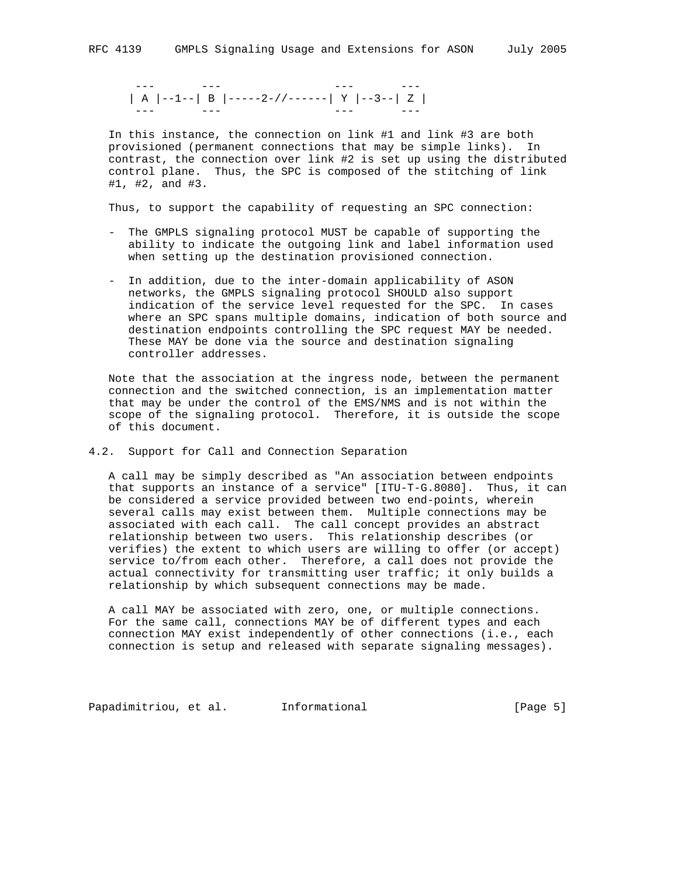--- --- --- --- | A |--1--| B |-----2-//------| Y |--3--| Z | --- --- --- ---

 In this instance, the connection on link #1 and link #3 are both provisioned (permanent connections that may be simple links). In contrast, the connection over link #2 is set up using the distributed control plane. Thus, the SPC is composed of the stitching of link #1, #2, and #3.

Thus, to support the capability of requesting an SPC connection:

- The GMPLS signaling protocol MUST be capable of supporting the ability to indicate the outgoing link and label information used when setting up the destination provisioned connection.
- In addition, due to the inter-domain applicability of ASON networks, the GMPLS signaling protocol SHOULD also support indication of the service level requested for the SPC. In cases where an SPC spans multiple domains, indication of both source and destination endpoints controlling the SPC request MAY be needed. These MAY be done via the source and destination signaling controller addresses.

 Note that the association at the ingress node, between the permanent connection and the switched connection, is an implementation matter that may be under the control of the EMS/NMS and is not within the scope of the signaling protocol. Therefore, it is outside the scope of this document.

4.2. Support for Call and Connection Separation

 A call may be simply described as "An association between endpoints that supports an instance of a service" [ITU-T-G.8080]. Thus, it can be considered a service provided between two end-points, wherein several calls may exist between them. Multiple connections may be associated with each call. The call concept provides an abstract relationship between two users. This relationship describes (or verifies) the extent to which users are willing to offer (or accept) service to/from each other. Therefore, a call does not provide the actual connectivity for transmitting user traffic; it only builds a relationship by which subsequent connections may be made.

 A call MAY be associated with zero, one, or multiple connections. For the same call, connections MAY be of different types and each connection MAY exist independently of other connections (i.e., each connection is setup and released with separate signaling messages).

Papadimitriou, et al. informational [Page 5]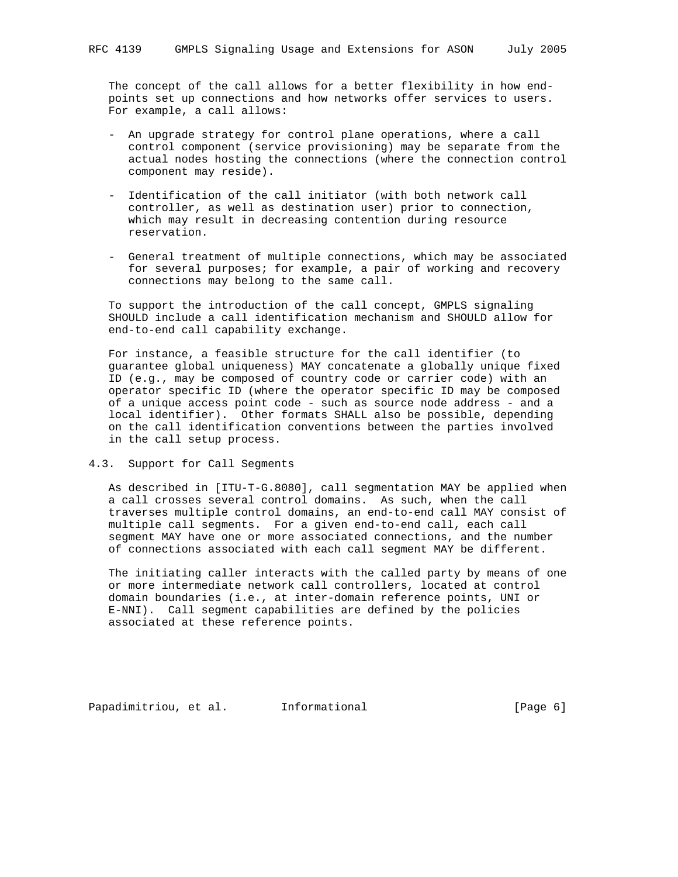The concept of the call allows for a better flexibility in how end points set up connections and how networks offer services to users. For example, a call allows:

- An upgrade strategy for control plane operations, where a call control component (service provisioning) may be separate from the actual nodes hosting the connections (where the connection control component may reside).
- Identification of the call initiator (with both network call controller, as well as destination user) prior to connection, which may result in decreasing contention during resource reservation.
- General treatment of multiple connections, which may be associated for several purposes; for example, a pair of working and recovery connections may belong to the same call.

 To support the introduction of the call concept, GMPLS signaling SHOULD include a call identification mechanism and SHOULD allow for end-to-end call capability exchange.

 For instance, a feasible structure for the call identifier (to guarantee global uniqueness) MAY concatenate a globally unique fixed ID (e.g., may be composed of country code or carrier code) with an operator specific ID (where the operator specific ID may be composed of a unique access point code - such as source node address - and a local identifier). Other formats SHALL also be possible, depending on the call identification conventions between the parties involved in the call setup process.

#### 4.3. Support for Call Segments

 As described in [ITU-T-G.8080], call segmentation MAY be applied when a call crosses several control domains. As such, when the call traverses multiple control domains, an end-to-end call MAY consist of multiple call segments. For a given end-to-end call, each call segment MAY have one or more associated connections, and the number of connections associated with each call segment MAY be different.

 The initiating caller interacts with the called party by means of one or more intermediate network call controllers, located at control domain boundaries (i.e., at inter-domain reference points, UNI or E-NNI). Call segment capabilities are defined by the policies associated at these reference points.

Papadimitriou, et al. Informational (Page 6)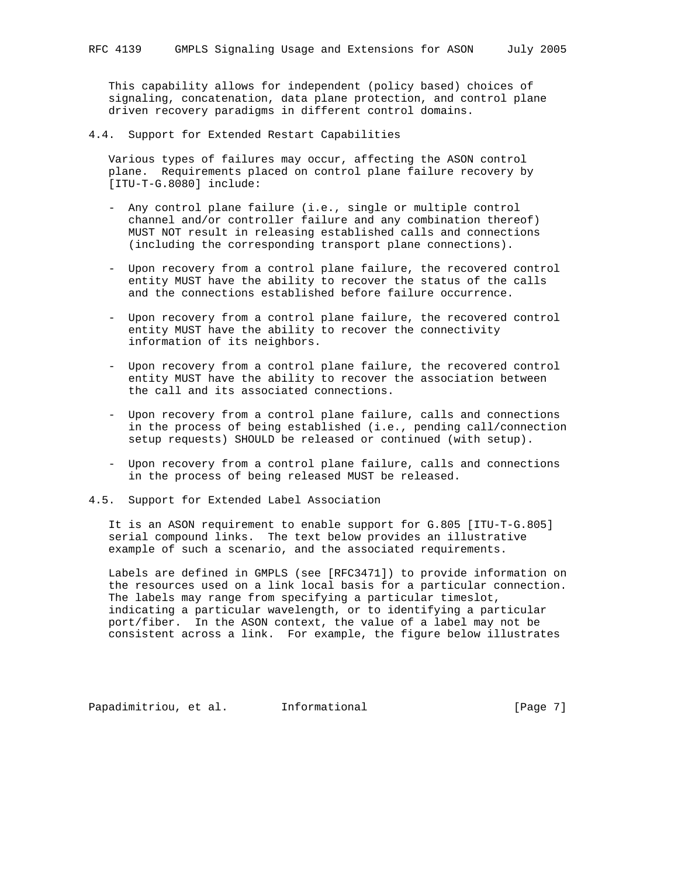This capability allows for independent (policy based) choices of signaling, concatenation, data plane protection, and control plane driven recovery paradigms in different control domains.

4.4. Support for Extended Restart Capabilities

 Various types of failures may occur, affecting the ASON control plane. Requirements placed on control plane failure recovery by [ITU-T-G.8080] include:

- Any control plane failure (i.e., single or multiple control channel and/or controller failure and any combination thereof) MUST NOT result in releasing established calls and connections (including the corresponding transport plane connections).
- Upon recovery from a control plane failure, the recovered control entity MUST have the ability to recover the status of the calls and the connections established before failure occurrence.
- Upon recovery from a control plane failure, the recovered control entity MUST have the ability to recover the connectivity information of its neighbors.
- Upon recovery from a control plane failure, the recovered control entity MUST have the ability to recover the association between the call and its associated connections.
- Upon recovery from a control plane failure, calls and connections in the process of being established (i.e., pending call/connection setup requests) SHOULD be released or continued (with setup).
- Upon recovery from a control plane failure, calls and connections in the process of being released MUST be released.
- 4.5. Support for Extended Label Association

 It is an ASON requirement to enable support for G.805 [ITU-T-G.805] serial compound links. The text below provides an illustrative example of such a scenario, and the associated requirements.

 Labels are defined in GMPLS (see [RFC3471]) to provide information on the resources used on a link local basis for a particular connection. The labels may range from specifying a particular timeslot, indicating a particular wavelength, or to identifying a particular port/fiber. In the ASON context, the value of a label may not be consistent across a link. For example, the figure below illustrates

Papadimitriou, et al. Informational [Page 7]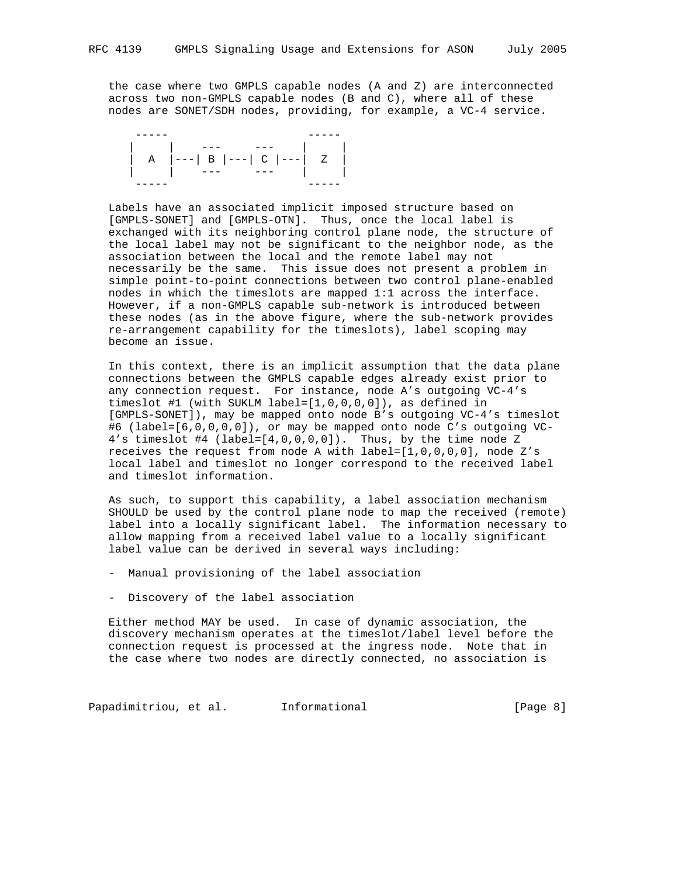the case where two GMPLS capable nodes (A and Z) are interconnected across two non-GMPLS capable nodes (B and C), where all of these nodes are SONET/SDH nodes, providing, for example, a VC-4 service.

 ----- ----- | | --- --- | | | A |---| B |---| C |---| Z | | | --- --- | | ----- -----

 Labels have an associated implicit imposed structure based on [GMPLS-SONET] and [GMPLS-OTN]. Thus, once the local label is exchanged with its neighboring control plane node, the structure of the local label may not be significant to the neighbor node, as the association between the local and the remote label may not necessarily be the same. This issue does not present a problem in simple point-to-point connections between two control plane-enabled nodes in which the timeslots are mapped 1:1 across the interface. However, if a non-GMPLS capable sub-network is introduced between these nodes (as in the above figure, where the sub-network provides re-arrangement capability for the timeslots), label scoping may become an issue.

 In this context, there is an implicit assumption that the data plane connections between the GMPLS capable edges already exist prior to any connection request. For instance, node A's outgoing VC-4's timeslot #1 (with SUKLM label=[1,0,0,0,0]), as defined in [GMPLS-SONET]), may be mapped onto node B's outgoing VC-4's timeslot #6 (label=[6,0,0,0,0]), or may be mapped onto node C's outgoing VC- 4's timeslot #4 (label=[4,0,0,0,0]). Thus, by the time node Z receives the request from node A with  $label=[1,0,0,0,0]$ , node Z's local label and timeslot no longer correspond to the received label and timeslot information.

 As such, to support this capability, a label association mechanism SHOULD be used by the control plane node to map the received (remote) label into a locally significant label. The information necessary to allow mapping from a received label value to a locally significant label value can be derived in several ways including:

- Manual provisioning of the label association
- Discovery of the label association

 Either method MAY be used. In case of dynamic association, the discovery mechanism operates at the timeslot/label level before the connection request is processed at the ingress node. Note that in the case where two nodes are directly connected, no association is

Papadimitriou, et al. Informational (Page 8)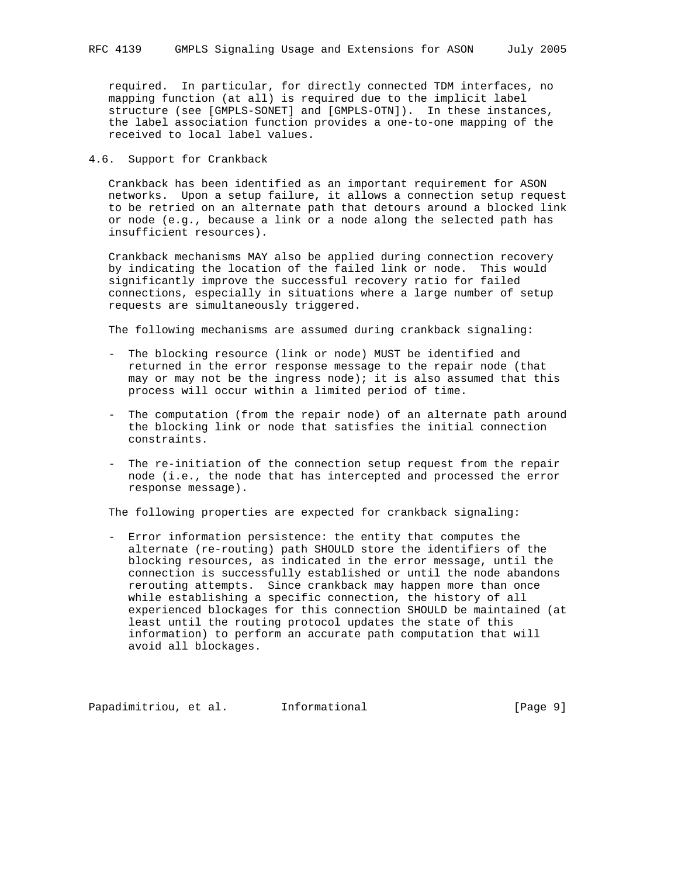required. In particular, for directly connected TDM interfaces, no mapping function (at all) is required due to the implicit label structure (see [GMPLS-SONET] and [GMPLS-OTN]). In these instances, the label association function provides a one-to-one mapping of the received to local label values.

### 4.6. Support for Crankback

 Crankback has been identified as an important requirement for ASON networks. Upon a setup failure, it allows a connection setup request to be retried on an alternate path that detours around a blocked link or node (e.g., because a link or a node along the selected path has insufficient resources).

 Crankback mechanisms MAY also be applied during connection recovery by indicating the location of the failed link or node. This would significantly improve the successful recovery ratio for failed connections, especially in situations where a large number of setup requests are simultaneously triggered.

The following mechanisms are assumed during crankback signaling:

- The blocking resource (link or node) MUST be identified and returned in the error response message to the repair node (that may or may not be the ingress node); it is also assumed that this process will occur within a limited period of time.
- The computation (from the repair node) of an alternate path around the blocking link or node that satisfies the initial connection constraints.
- The re-initiation of the connection setup request from the repair node (i.e., the node that has intercepted and processed the error response message).

The following properties are expected for crankback signaling:

 - Error information persistence: the entity that computes the alternate (re-routing) path SHOULD store the identifiers of the blocking resources, as indicated in the error message, until the connection is successfully established or until the node abandons rerouting attempts. Since crankback may happen more than once while establishing a specific connection, the history of all experienced blockages for this connection SHOULD be maintained (at least until the routing protocol updates the state of this information) to perform an accurate path computation that will avoid all blockages.

Papadimitriou, et al. Informational [Page 9]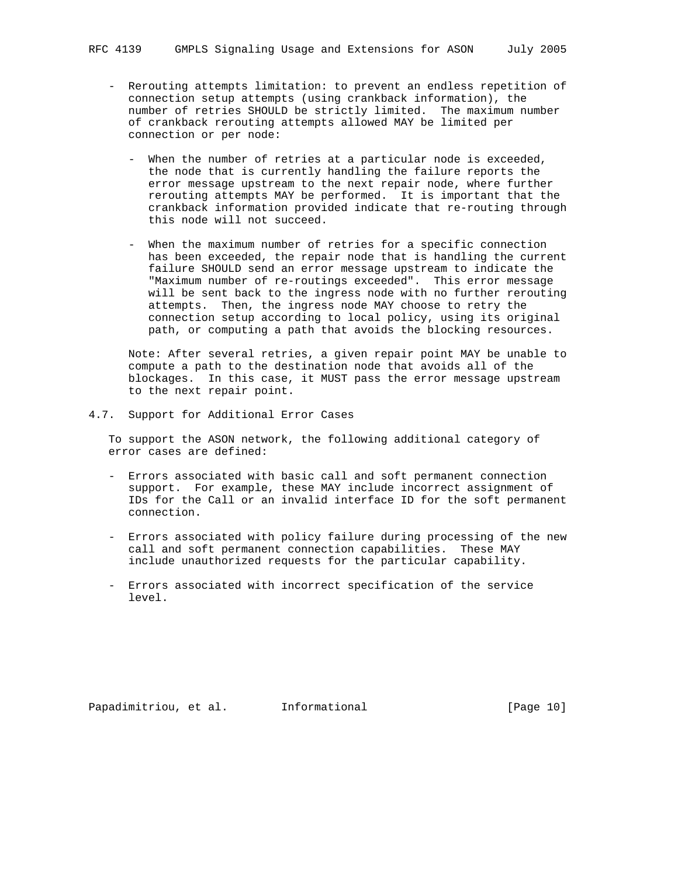- Rerouting attempts limitation: to prevent an endless repetition of connection setup attempts (using crankback information), the number of retries SHOULD be strictly limited. The maximum number of crankback rerouting attempts allowed MAY be limited per connection or per node:
	- When the number of retries at a particular node is exceeded, the node that is currently handling the failure reports the error message upstream to the next repair node, where further rerouting attempts MAY be performed. It is important that the crankback information provided indicate that re-routing through this node will not succeed.
	- When the maximum number of retries for a specific connection has been exceeded, the repair node that is handling the current failure SHOULD send an error message upstream to indicate the "Maximum number of re-routings exceeded". This error message will be sent back to the ingress node with no further rerouting attempts. Then, the ingress node MAY choose to retry the connection setup according to local policy, using its original path, or computing a path that avoids the blocking resources.

 Note: After several retries, a given repair point MAY be unable to compute a path to the destination node that avoids all of the blockages. In this case, it MUST pass the error message upstream to the next repair point.

4.7. Support for Additional Error Cases

 To support the ASON network, the following additional category of error cases are defined:

- Errors associated with basic call and soft permanent connection support. For example, these MAY include incorrect assignment of IDs for the Call or an invalid interface ID for the soft permanent connection.
- Errors associated with policy failure during processing of the new call and soft permanent connection capabilities. These MAY include unauthorized requests for the particular capability.
- Errors associated with incorrect specification of the service level.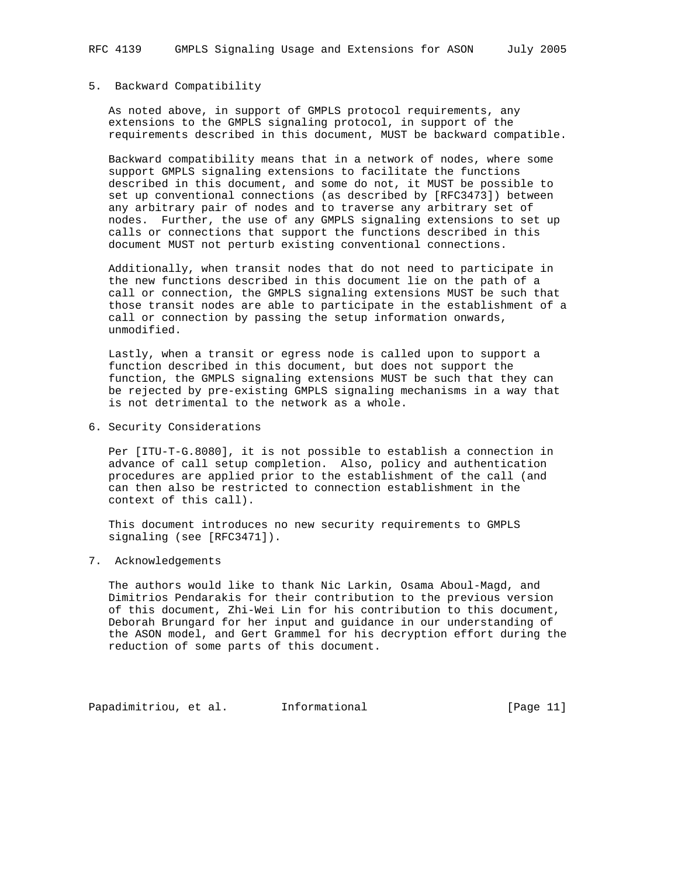# 5. Backward Compatibility

 As noted above, in support of GMPLS protocol requirements, any extensions to the GMPLS signaling protocol, in support of the requirements described in this document, MUST be backward compatible.

 Backward compatibility means that in a network of nodes, where some support GMPLS signaling extensions to facilitate the functions described in this document, and some do not, it MUST be possible to set up conventional connections (as described by [RFC3473]) between any arbitrary pair of nodes and to traverse any arbitrary set of nodes. Further, the use of any GMPLS signaling extensions to set up calls or connections that support the functions described in this document MUST not perturb existing conventional connections.

 Additionally, when transit nodes that do not need to participate in the new functions described in this document lie on the path of a call or connection, the GMPLS signaling extensions MUST be such that those transit nodes are able to participate in the establishment of a call or connection by passing the setup information onwards, unmodified.

 Lastly, when a transit or egress node is called upon to support a function described in this document, but does not support the function, the GMPLS signaling extensions MUST be such that they can be rejected by pre-existing GMPLS signaling mechanisms in a way that is not detrimental to the network as a whole.

6. Security Considerations

 Per [ITU-T-G.8080], it is not possible to establish a connection in advance of call setup completion. Also, policy and authentication procedures are applied prior to the establishment of the call (and can then also be restricted to connection establishment in the context of this call).

 This document introduces no new security requirements to GMPLS signaling (see [RFC3471]).

7. Acknowledgements

 The authors would like to thank Nic Larkin, Osama Aboul-Magd, and Dimitrios Pendarakis for their contribution to the previous version of this document, Zhi-Wei Lin for his contribution to this document, Deborah Brungard for her input and guidance in our understanding of the ASON model, and Gert Grammel for his decryption effort during the reduction of some parts of this document.

Papadimitriou, et al. Informational (Page 11)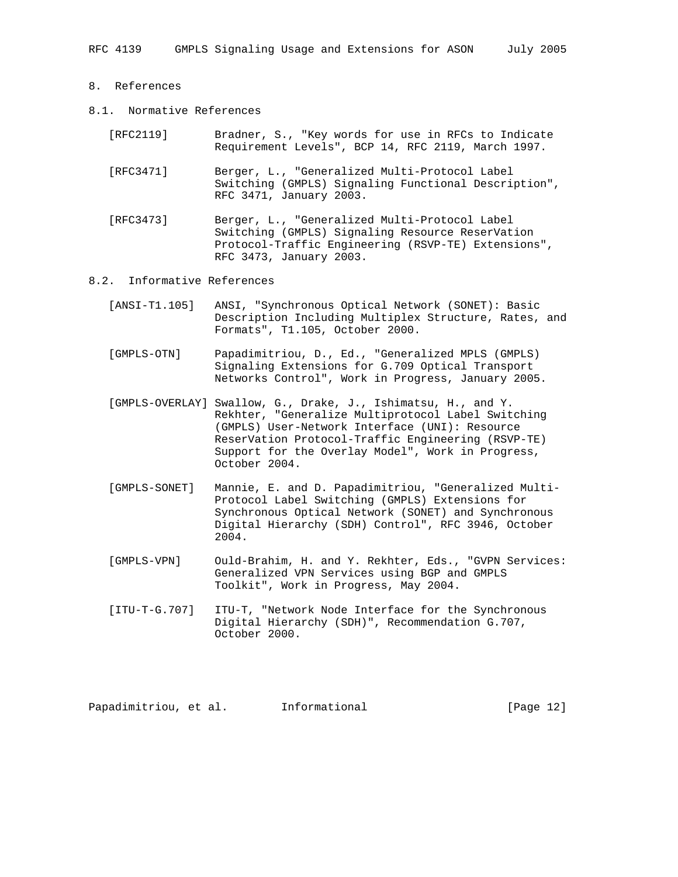- 8. References
- 8.1. Normative References
	- [RFC2119] Bradner, S., "Key words for use in RFCs to Indicate Requirement Levels", BCP 14, RFC 2119, March 1997.
	- [RFC3471] Berger, L., "Generalized Multi-Protocol Label Switching (GMPLS) Signaling Functional Description", RFC 3471, January 2003.
	- [RFC3473] Berger, L., "Generalized Multi-Protocol Label Switching (GMPLS) Signaling Resource ReserVation Protocol-Traffic Engineering (RSVP-TE) Extensions", RFC 3473, January 2003.

#### 8.2. Informative References

- [ANSI-T1.105] ANSI, "Synchronous Optical Network (SONET): Basic Description Including Multiplex Structure, Rates, and Formats", T1.105, October 2000.
- [GMPLS-OTN] Papadimitriou, D., Ed., "Generalized MPLS (GMPLS) Signaling Extensions for G.709 Optical Transport Networks Control", Work in Progress, January 2005.
- [GMPLS-OVERLAY] Swallow, G., Drake, J., Ishimatsu, H., and Y. Rekhter, "Generalize Multiprotocol Label Switching (GMPLS) User-Network Interface (UNI): Resource ReserVation Protocol-Traffic Engineering (RSVP-TE) Support for the Overlay Model", Work in Progress, October 2004.
- [GMPLS-SONET] Mannie, E. and D. Papadimitriou, "Generalized Multi- Protocol Label Switching (GMPLS) Extensions for Synchronous Optical Network (SONET) and Synchronous Digital Hierarchy (SDH) Control", RFC 3946, October 2004.
- [GMPLS-VPN] Ould-Brahim, H. and Y. Rekhter, Eds., "GVPN Services: Generalized VPN Services using BGP and GMPLS Toolkit", Work in Progress, May 2004.
- [ITU-T-G.707] ITU-T, "Network Node Interface for the Synchronous Digital Hierarchy (SDH)", Recommendation G.707, October 2000.

Papadimitriou, et al. informational [Page 12]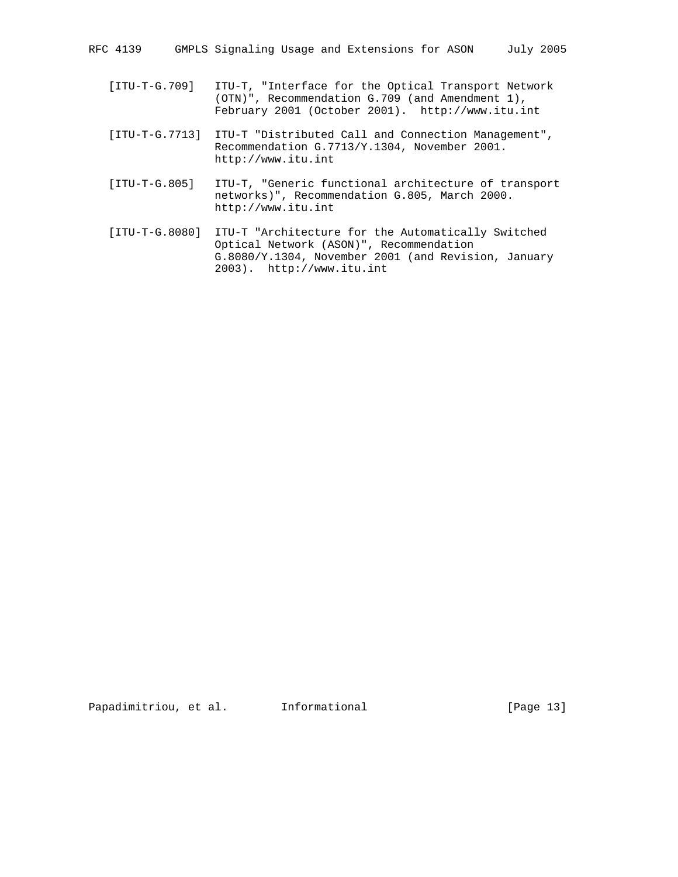- [ITU-T-G.709] ITU-T, "Interface for the Optical Transport Network (OTN)", Recommendation G.709 (and Amendment 1), February 2001 (October 2001). http://www.itu.int
- [ITU-T-G.7713] ITU-T "Distributed Call and Connection Management", Recommendation G.7713/Y.1304, November 2001. http://www.itu.int
- [ITU-T-G.805] ITU-T, "Generic functional architecture of transport networks)", Recommendation G.805, March 2000. http://www.itu.int
- [ITU-T-G.8080] ITU-T "Architecture for the Automatically Switched Optical Network (ASON)", Recommendation G.8080/Y.1304, November 2001 (and Revision, January 2003). http://www.itu.int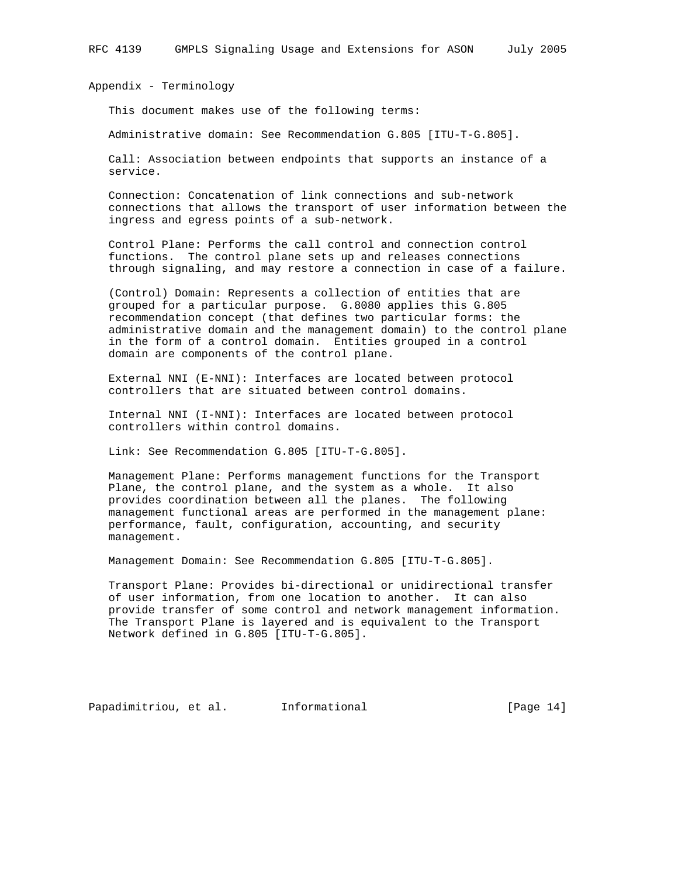Appendix - Terminology

This document makes use of the following terms:

Administrative domain: See Recommendation G.805 [ITU-T-G.805].

 Call: Association between endpoints that supports an instance of a service.

 Connection: Concatenation of link connections and sub-network connections that allows the transport of user information between the ingress and egress points of a sub-network.

 Control Plane: Performs the call control and connection control functions. The control plane sets up and releases connections through signaling, and may restore a connection in case of a failure.

 (Control) Domain: Represents a collection of entities that are grouped for a particular purpose. G.8080 applies this G.805 recommendation concept (that defines two particular forms: the administrative domain and the management domain) to the control plane in the form of a control domain. Entities grouped in a control domain are components of the control plane.

 External NNI (E-NNI): Interfaces are located between protocol controllers that are situated between control domains.

 Internal NNI (I-NNI): Interfaces are located between protocol controllers within control domains.

Link: See Recommendation G.805 [ITU-T-G.805].

 Management Plane: Performs management functions for the Transport Plane, the control plane, and the system as a whole. It also provides coordination between all the planes. The following management functional areas are performed in the management plane: performance, fault, configuration, accounting, and security management.

Management Domain: See Recommendation G.805 [ITU-T-G.805].

 Transport Plane: Provides bi-directional or unidirectional transfer of user information, from one location to another. It can also provide transfer of some control and network management information. The Transport Plane is layered and is equivalent to the Transport Network defined in G.805 [ITU-T-G.805].

Papadimitriou, et al. Informational [Page 14]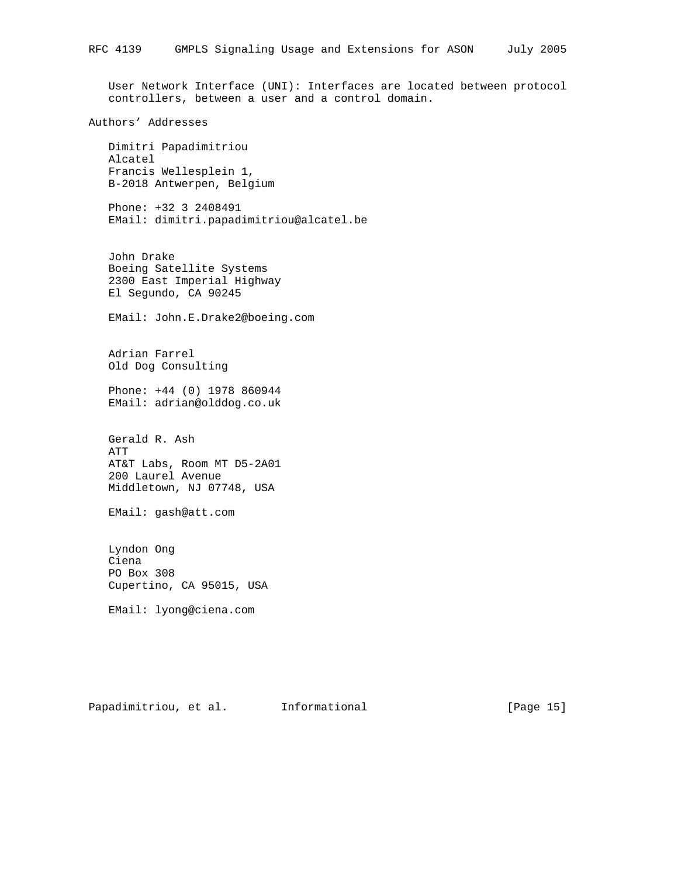User Network Interface (UNI): Interfaces are located between protocol controllers, between a user and a control domain.

#### Authors' Addresses

 Dimitri Papadimitriou Alcatel Francis Wellesplein 1, B-2018 Antwerpen, Belgium

 Phone: +32 3 2408491 EMail: dimitri.papadimitriou@alcatel.be

 John Drake Boeing Satellite Systems 2300 East Imperial Highway El Segundo, CA 90245

EMail: John.E.Drake2@boeing.com

 Adrian Farrel Old Dog Consulting

 Phone: +44 (0) 1978 860944 EMail: adrian@olddog.co.uk

 Gerald R. Ash ATT AT&T Labs, Room MT D5-2A01 200 Laurel Avenue Middletown, NJ 07748, USA

EMail: gash@att.com

 Lyndon Ong Ciena PO Box 308 Cupertino, CA 95015, USA

EMail: lyong@ciena.com